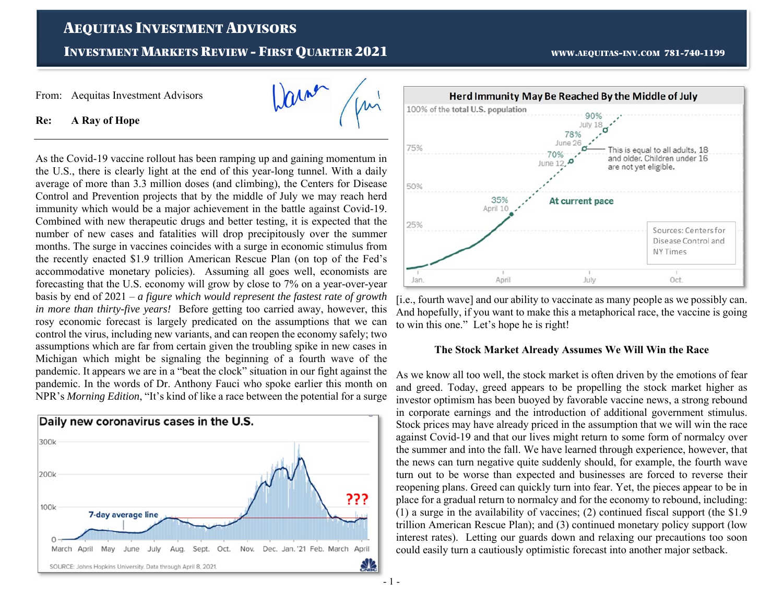# AEQUITAS INVESTMENT ADVISORS

**INVESTMENT MARKETS REVIEW - FIRST OUARTER 2021** 

ma

WWW.AEQUITAS-INV.COM 781-740-1199

From: Aequitas Investment Advisors

**Re: A Ray of Hope** 

As the Covid-19 vaccine rollout has been ramping up and gaining momentum in the U.S., there is clearly light at the end of this year-long tunnel. With a daily average of more than 3.3 million doses (and climbing), the Centers for Disease Control and Prevention projects that by the middle of July we may reach herd immunity which would be a major achievement in the battle against Covid-19. Combined with new therapeutic drugs and better testing, it is expected that the number of new cases and fatalities will drop precipitously over the summer months. The surge in vaccines coincides with a surge in economic stimulus from the recently enacted \$1.9 trillion American Rescue Plan (on top of the Fed's accommodative monetary policies). Assuming all goes well, economists are forecasting that the U.S. economy will grow by close to 7% on a year-over-year basis by end of 2021 – *a figure which would represent the fastest rate of growth in more than thirty-five years!* Before getting too carried away, however, this rosy economic forecast is largely predicated on the assumptions that we can control the virus, including new variants, and can reopen the economy safely; two assumptions which are far from certain given the troubling spike in new cases in Michigan which might be signaling the beginning of a fourth wave of the pandemic. It appears we are in a "beat the clock" situation in our fight against the pandemic. In the words of Dr. Anthony Fauci who spoke earlier this month on NPR's *Morning Edition*, "It's kind of like a race between the potential for a surge





[i.e., fourth wave] and our ability to vaccinate as many people as we possibly can. And hopefully, if you want to make this a metaphorical race, the vaccine is going to win this one." Let's hope he is right!

### **The Stock Market Already Assumes We Will Win the Race**

As we know all too well, the stock market is often driven by the emotions of fear and greed. Today, greed appears to be propelling the stock market higher as investor optimism has been buoyed by favorable vaccine news, a strong rebound in corporate earnings and the introduction of additional government stimulus. Stock prices may have already priced in the assumption that we will win the race against Covid-19 and that our lives might return to some form of normalcy over the summer and into the fall. We have learned through experience, however, that the news can turn negative quite suddenly should, for example, the fourth wave turn out to be worse than expected and businesses are forced to reverse their reopening plans. Greed can quickly turn into fear. Yet, the pieces appear to be in place for a gradual return to normalcy and for the economy to rebound, including: (1) a surge in the availability of vaccines; (2) continued fiscal support (the \$1.9 trillion American Rescue Plan); and (3) continued monetary policy support (low interest rates). Letting our guards down and relaxing our precautions too soon could easily turn a cautiously optimistic forecast into another major setback.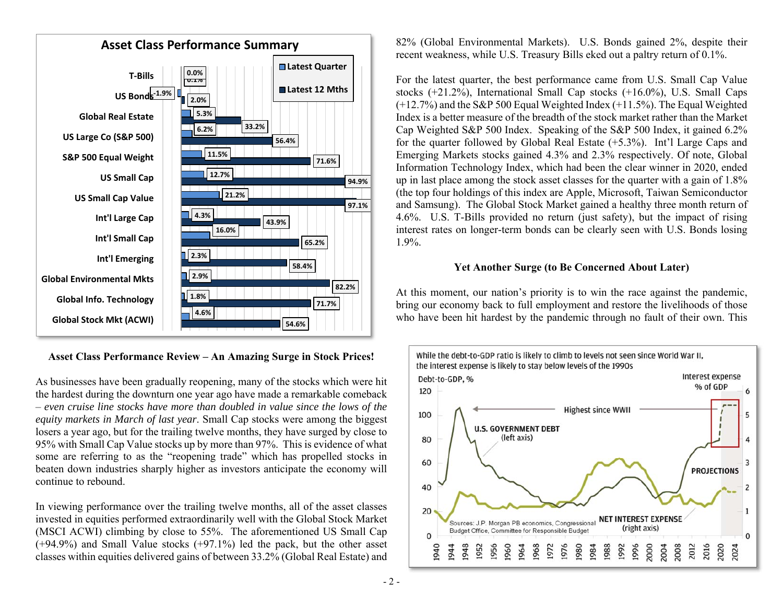

**Asset Class Performance Review – An Amazing Surge in Stock Prices!** 

As businesses have been gradually reopening, many of the stocks which were hit the hardest during the downturn one year ago have made a remarkable comeback – *even cruise line stocks have more than doubled in value since the lows of the equity markets in March of last year*. Small Cap stocks were among the biggest losers a year ago, but for the trailing twelve months, they have surged by close to 95% with Small Cap Value stocks up by more than 97%. This is evidence of what some are referring to as the "reopening trade" which has propelled stocks in beaten down industries sharply higher as investors anticipate the economy will continue to rebound.

In viewing performance over the trailing twelve months, all of the asset classes invested in equities performed extraordinarily well with the Global Stock Market (MSCI ACWI) climbing by close to 55%. The aforementioned US Small Cap (+94.9%) and Small Value stocks (+97.1%) led the pack, but the other asset classes within equities delivered gains of between 33.2% (Global Real Estate) and

82% (Global Environmental Markets). U.S. Bonds gained 2%, despite their recent weakness, while U.S. Treasury Bills eked out a paltry return of 0.1%.

For the latest quarter, the best performance came from U.S. Small Cap Value stocks  $(+21.2\%)$ , International Small Cap stocks  $(+16.0\%)$ , U.S. Small Caps (+12.7%) and the S&P 500 Equal Weighted Index (+11.5%). The Equal Weighted Index is a better measure of the breadth of the stock market rather than the Market Cap Weighted S&P 500 Index. Speaking of the S&P 500 Index, it gained 6.2% for the quarter followed by Global Real Estate (+5.3%). Int'l Large Caps and Emerging Markets stocks gained 4.3% and 2.3% respectively. Of note, Global Information Technology Index, which had been the clear winner in 2020, ended up in last place among the stock asset classes for the quarter with a gain of 1.8% (the top four holdings of this index are Apple, Microsoft, Taiwan Semiconductor and Samsung). The Global Stock Market gained a healthy three month return of 4.6%. U.S. T-Bills provided no return (just safety), but the impact of rising interest rates on longer-term bonds can be clearly seen with U.S. Bonds losing 1.9%.

# **Yet Another Surge (to Be Concerned About Later)**

At this moment, our nation's priority is to win the race against the pandemic, bring our economy back to full employment and restore the livelihoods of those **Example 1** who have been hit hardest by the pandemic through no fault of their own. This **54.6%** 

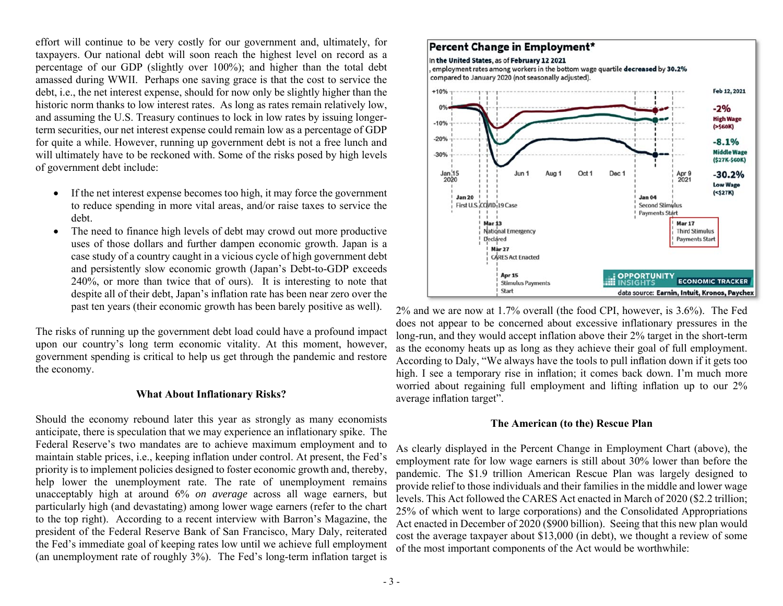effort will continue to be very costly for our government and, ultimately, for taxpayers. Our national debt will soon reach the highest level on record as a percentage of our GDP (slightly over 100%); and higher than the total debt amassed during WWII. Perhaps one saving grace is that the cost to service the debt, i.e., the net interest expense, should for now only be slightly higher than the historic norm thanks to low interest rates. As long as rates remain relatively low, and assuming the U.S. Treasury continues to lock in low rates by issuing longerterm securities, our net interest expense could remain low as a percentage of GDP for quite a while. However, running up government debt is not a free lunch and will ultimately have to be reckoned with. Some of the risks posed by high levels of government debt include:

- $\bullet$  If the net interest expense becomes too high, it may force the government to reduce spending in more vital areas, and/or raise taxes to service the debt.
- $\bullet$  The need to finance high levels of debt may crowd out more productive uses of those dollars and further dampen economic growth. Japan is a case study of a country caught in a vicious cycle of high government debt and persistently slow economic growth (Japan's Debt-to-GDP exceeds 240%, or more than twice that of ours). It is interesting to note that despite all of their debt, Japan's inflation rate has been near zero over the past ten years (their economic growth has been barely positive as well).

The risks of running up the government debt load could have a profound impact upon our country's long term economic vitality. At this moment, however, government spending is critical to help us get through the pandemic and restore the economy.

### **What About Inflationary Risks?**

Should the economy rebound later this year as strongly as many economists anticipate, there is speculation that we may experience an inflationary spike. The Federal Reserve's two mandates are to achieve maximum employment and to maintain stable prices, i.e., keeping inflation under control. At present, the Fed's priority is to implement policies designed to foster economic growth and, thereby, help lower the unemployment rate. The rate of unemployment remains unacceptably high at around 6% *on average* across all wage earners, but particularly high (and devastating) among lower wage earners (refer to the chart to the top right). According to a recent interview with Barron's Magazine, the president of the Federal Reserve Bank of San Francisco, Mary Daly, reiterated the Fed's immediate goal of keeping rates low until we achieve full employment (an unemployment rate of roughly 3%). The Fed's long-term inflation target is

#### Percent Change in Employment\* In the United States, as of February 12 2021 employment rates among workers in the bottom wage quartile decreased by 30.2% compared to January 2020 (not seasonally adjusted).  $+10%$ Feb 12, 2021  $-2%$ **High Wage**  $-10%$  $( > $60K)$  $-20%$  $-8.1%$ **Middle Wage**  $-30%$ (\$27K-\$60K)  $\frac{\tan 15}{2020}$ Jun 1 Aug Oct 1 Dec 1 Apr 9  $-30.2%$  $202<sup>1</sup>$ **Low Wage**  $( **527K**)$ **Jan 20 Jan 04** First U.S. COVID-19 Case Second Stimulus **Payments Start Mar 13** Mar 17 National Emergency **Third Stimulus** Declared **Payments Start** Mar 27 **CARES Act Enacted** Apr 15 **OPPORTUNITY ECONOMIC TRACKER Stimulus Payments INSIGHTS** Start data source: Earnin, Intuit, Kronos, Paychex

2% and we are now at 1.7% overall (the food CPI, however, is 3.6%). The Fed does not appear to be concerned about excessive inflationary pressures in the long-run, and they would accept inflation above their 2% target in the short-term as the economy heats up as long as they achieve their goal of full employment. According to Daly, "We always have the tools to pull inflation down if it gets too high. I see a temporary rise in inflation; it comes back down. I'm much more worried about regaining full employment and lifting inflation up to our 2% average inflation target".

### **The American (to the) Rescue Plan**

As clearly displayed in the Percent Change in Employment Chart (above), the employment rate for low wage earners is still about 30% lower than before the pandemic. The \$1.9 trillion American Rescue Plan was largely designed to provide relief to those individuals and their families in the middle and lower wage levels. This Act followed the CARES Act enacted in March of 2020 (\$2.2 trillion; 25% of which went to large corporations) and the Consolidated Appropriations Act enacted in December of 2020 (\$900 billion). Seeing that this new plan would cost the average taxpayer about \$13,000 (in debt), we thought a review of some of the most important components of the Act would be worthwhile: